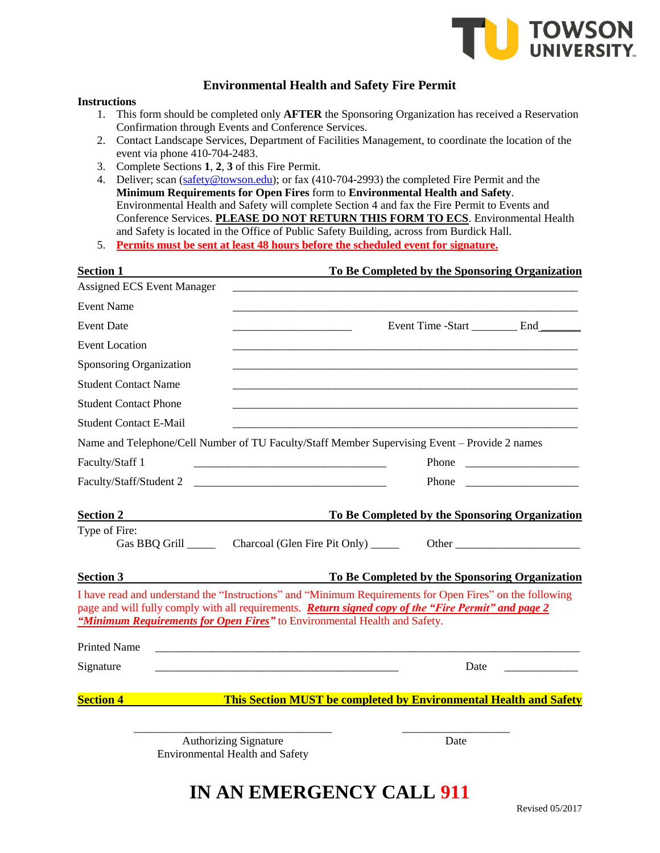

## **Environmental Health and Safety Fire Permit**

## **Instructions**

- 1. This form should be completed only **AFTER** the Sponsoring Organization has received a Reservation Confirmation through Events and Conference Services.
- 2. Contact Landscape Services, Department of Facilities Management, to coordinate the location of the event via phone 410-704-2483.
- 3. Complete Sections **1**, **2**, **3** of this Fire Permit.
- 4. Deliver; scan [\(safety@towson.edu\)](mailto:safety@towson.edu); or fax (410-704-2993) the completed Fire Permit and the **Minimum Requirements for Open Fires** form to **Environmental Health and Safety**. Environmental Health and Safety will complete Section 4 and fax the Fire Permit to Events and Conference Services. **PLEASE DO NOT RETURN THIS FORM TO ECS**. Environmental Health and Safety is located in the Office of Public Safety Building, across from Burdick Hall.
- 5. **Permits must be sent at least 48 hours before the scheduled event for signature.**

| <b>Section 1</b>                  | To Be Completed by the Sponsoring Organization                                                                                                                                                                                                                                                                                                                                                                         |                                                |  |
|-----------------------------------|------------------------------------------------------------------------------------------------------------------------------------------------------------------------------------------------------------------------------------------------------------------------------------------------------------------------------------------------------------------------------------------------------------------------|------------------------------------------------|--|
| <b>Assigned ECS Event Manager</b> |                                                                                                                                                                                                                                                                                                                                                                                                                        |                                                |  |
| <b>Event Name</b>                 |                                                                                                                                                                                                                                                                                                                                                                                                                        |                                                |  |
| <b>Event Date</b>                 |                                                                                                                                                                                                                                                                                                                                                                                                                        | Event Time -Start ___________ End __________   |  |
| <b>Event Location</b>             |                                                                                                                                                                                                                                                                                                                                                                                                                        |                                                |  |
| Sponsoring Organization           |                                                                                                                                                                                                                                                                                                                                                                                                                        |                                                |  |
| <b>Student Contact Name</b>       |                                                                                                                                                                                                                                                                                                                                                                                                                        |                                                |  |
| <b>Student Contact Phone</b>      |                                                                                                                                                                                                                                                                                                                                                                                                                        |                                                |  |
| <b>Student Contact E-Mail</b>     |                                                                                                                                                                                                                                                                                                                                                                                                                        |                                                |  |
|                                   | Name and Telephone/Cell Number of TU Faculty/Staff Member Supervising Event - Provide 2 names                                                                                                                                                                                                                                                                                                                          |                                                |  |
| Faculty/Staff 1                   | <u> 1989 - Jan James James James James James James James James James James James James James James James James J</u>                                                                                                                                                                                                                                                                                                   |                                                |  |
| Faculty/Staff/Student 2           | <u> 1989 - Jan James James James James James James James James James James James James James James James James J</u>                                                                                                                                                                                                                                                                                                   | Phone                                          |  |
| <b>Section 2</b>                  |                                                                                                                                                                                                                                                                                                                                                                                                                        | To Be Completed by the Sponsoring Organization |  |
| Type of Fire:                     | Gas BBQ Grill _________ Charcoal (Glen Fire Pit Only) _______                                                                                                                                                                                                                                                                                                                                                          |                                                |  |
| <b>Section 3</b>                  | <b>To Be Completed by the Sponsoring Organization</b>                                                                                                                                                                                                                                                                                                                                                                  |                                                |  |
| <b>Printed Name</b>               | I have read and understand the "Instructions" and "Minimum Requirements for Open Fires" on the following<br>page and will fully comply with all requirements. Return signed copy of the "Fire Permit" and page 2<br>"Minimum Requirements for Open Fires" to Environmental Health and Safety.<br><u> 1989 - John Stoff, deutscher Stoff, der Stoff, der Stoff, der Stoff, der Stoff, der Stoff, der Stoff, der Sto</u> |                                                |  |
| Signature                         |                                                                                                                                                                                                                                                                                                                                                                                                                        | Date                                           |  |
|                                   |                                                                                                                                                                                                                                                                                                                                                                                                                        |                                                |  |
| <b>Section 4</b>                  | This Section MUST be completed by Environmental Health and Safety                                                                                                                                                                                                                                                                                                                                                      |                                                |  |

Authorizing Signature Date Environmental Health and Safety

## **IN AN EMERGENCY CALL 911**

\_\_\_\_\_\_\_\_\_\_\_\_\_\_\_\_\_\_\_\_\_\_\_\_\_\_\_\_\_\_\_\_\_\_\_ \_\_\_\_\_\_\_\_\_\_\_\_\_\_\_\_\_\_\_